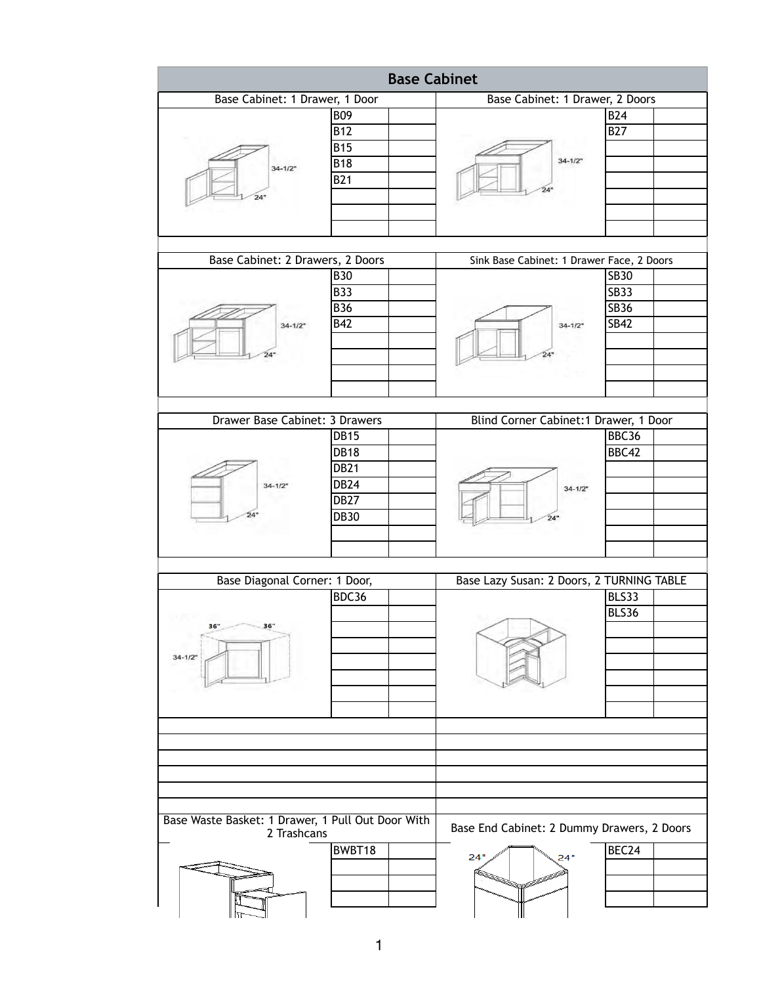| <b>Base Cabinet</b>                                                           |                                                                                        |                                                          |                                                          |
|-------------------------------------------------------------------------------|----------------------------------------------------------------------------------------|----------------------------------------------------------|----------------------------------------------------------|
| Base Cabinet: 1 Drawer, 1 Door                                                |                                                                                        | Base Cabinet: 1 Drawer, 2 Doors                          |                                                          |
| $34 - 1/2"$<br>24"                                                            | <b>B09</b><br><b>B12</b><br><b>B15</b><br><b>B18</b><br><b>B21</b>                     | $34 - 1/2"$<br>24"                                       | <b>B24</b><br><b>B27</b>                                 |
| Base Cabinet: 2 Drawers, 2 Doors<br>Sink Base Cabinet: 1 Drawer Face, 2 Doors |                                                                                        |                                                          |                                                          |
| $34 - 1/2$<br>24"                                                             | <b>B30</b><br><b>B33</b><br><b>B36</b><br><b>B42</b>                                   | $34 - 1/2"$<br>24"                                       | <b>SB30</b><br><b>SB33</b><br><b>SB36</b><br><b>SB42</b> |
| Drawer Base Cabinet: 3 Drawers<br>Blind Corner Cabinet: 1 Drawer, 1 Door      |                                                                                        |                                                          |                                                          |
| $34 - 1/2"$<br>24"                                                            | <b>DB15</b><br><b>DB18</b><br><b>DB21</b><br><b>DB24</b><br><b>DB27</b><br><b>DB30</b> | $34 - 1/2$<br>24"                                        | BBC36<br>BBC42                                           |
| Base Diagonal Corner: 1 Door,                                                 |                                                                                        | Base Lazy Susan: 2 Doors, 2 TURNING TABLE                |                                                          |
| 36"<br>36"<br>$34 - 1/2$                                                      | BDC36                                                                                  |                                                          | BLS33<br>BLS36                                           |
| Base Waste Basket: 1 Drawer, 1 Pull Out Door With                             |                                                                                        |                                                          |                                                          |
| 2 Trashcans                                                                   | BWBT18                                                                                 | Base End Cabinet: 2 Dummy Drawers, 2 Doors<br>24"<br>24" | BEC24                                                    |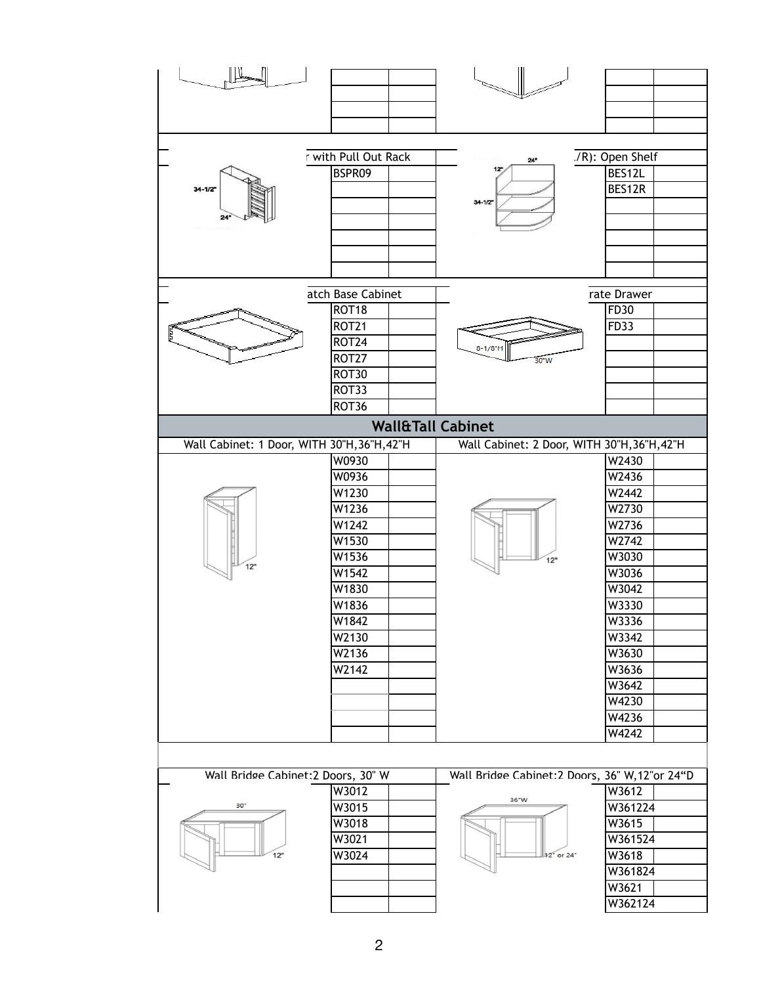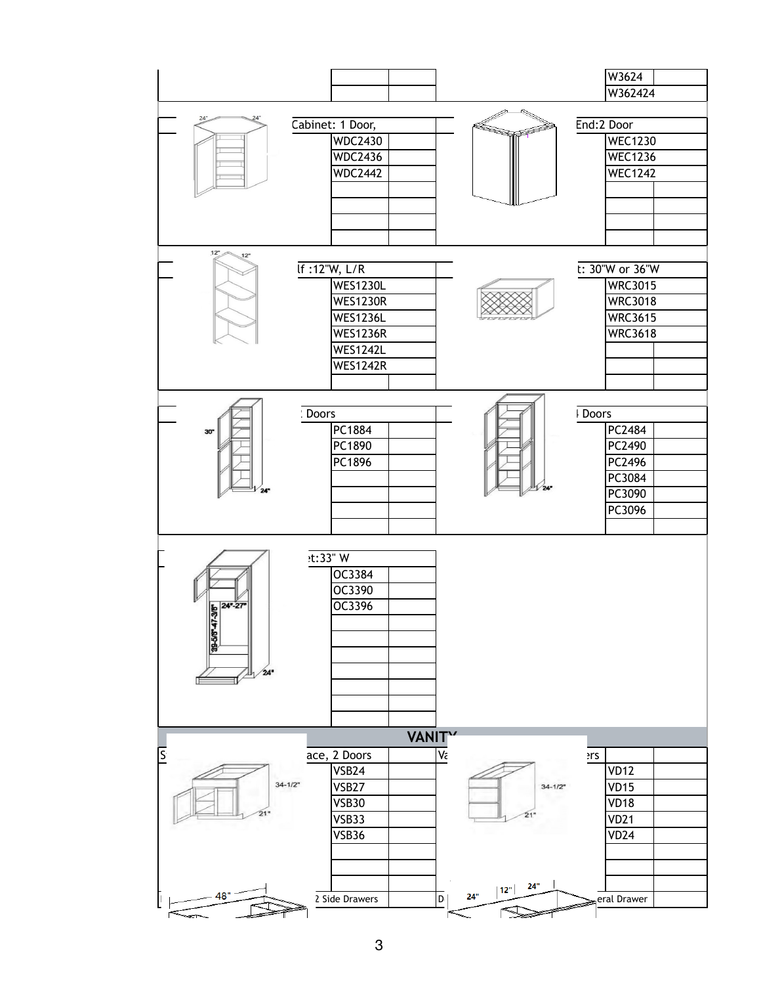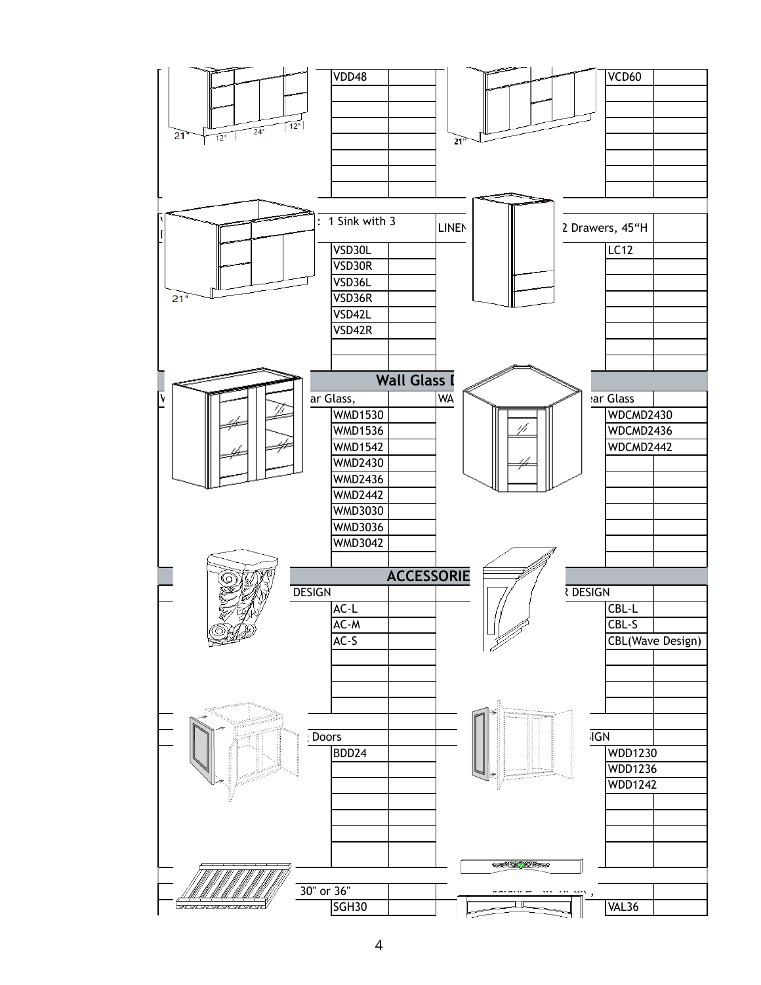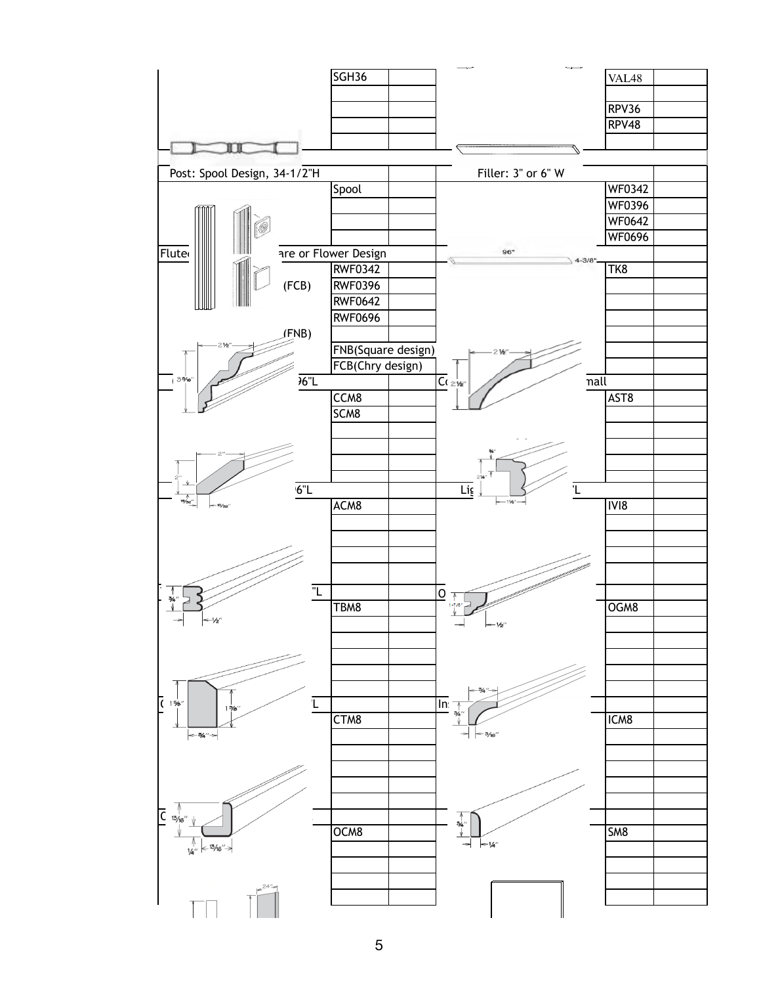